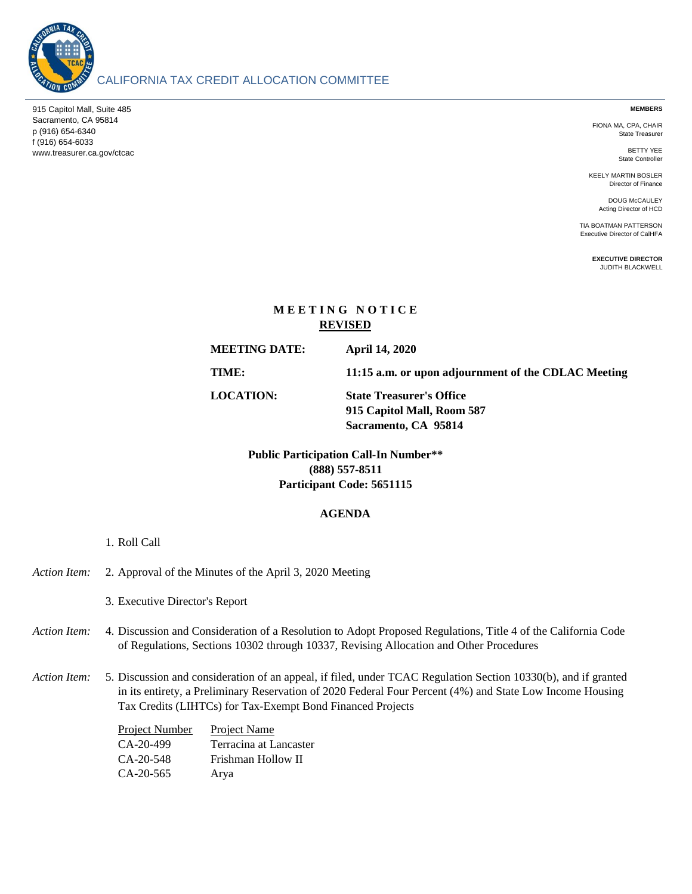

# CALIFORNIA TAX CREDIT ALLOCATION COMMITTEE

915 Capitol Mall, Suite 485 Sacramento, CA 95814 p (916) 654-6340 f (916) 654-6033 www.treasurer.ca.gov/ctcac **MEMBERS**

FIONA MA, CPA, CHAIR State Treasurer

> BETTY YEE State Controller

KEELY MARTIN BOSLER Director of Finance

> DOUG McCAULEY Acting Director of HCD

TIA BOATMAN PATTERSON Executive Director of CalHFA

> **EXECUTIVE DIRECTOR** JUDITH BLACKWELL

# **M E E T I N G N O T I C E REVISED**

**MEETING DATE:**

**April 14, 2020**

**TIME: 11:15 a.m. or upon adjournment of the CDLAC Meeting**

**LOCATION: State Treasurer's Office 915 Capitol Mall, Room 587 Sacramento, CA 95814**

> **(888) 557-8511 Participant Code: 5651115 Public Participation Call-In Number\*\***

## **AGENDA**

1. Roll Call

| Action Item: 2. Approval of the Minutes of the April 3, 2020 Meeting |  |
|----------------------------------------------------------------------|--|
|                                                                      |  |

3. Executive Director's Report

- Action Item: Discussion and Consideration of a Resolution to Adopt Proposed Regulations, Title 4 of the California Code of Regulations, Sections 10302 through 10337, Revising Allocation and Other Procedures
- Action Item: Discussion and consideration of an appeal, if filed, under TCAC Regulation Section 10330(b), and if granted in its entirety, a Preliminary Reservation of 2020 Federal Four Percent (4%) and State Low Income Housing Tax Credits (LIHTCs) for Tax-Exempt Bond Financed Projects

| Project Number | <b>Project Name</b>    |
|----------------|------------------------|
| CA-20-499      | Terracina at Lancaster |
| $CA-20-548$    | Frishman Hollow II     |
| $CA-20-565$    | Arya                   |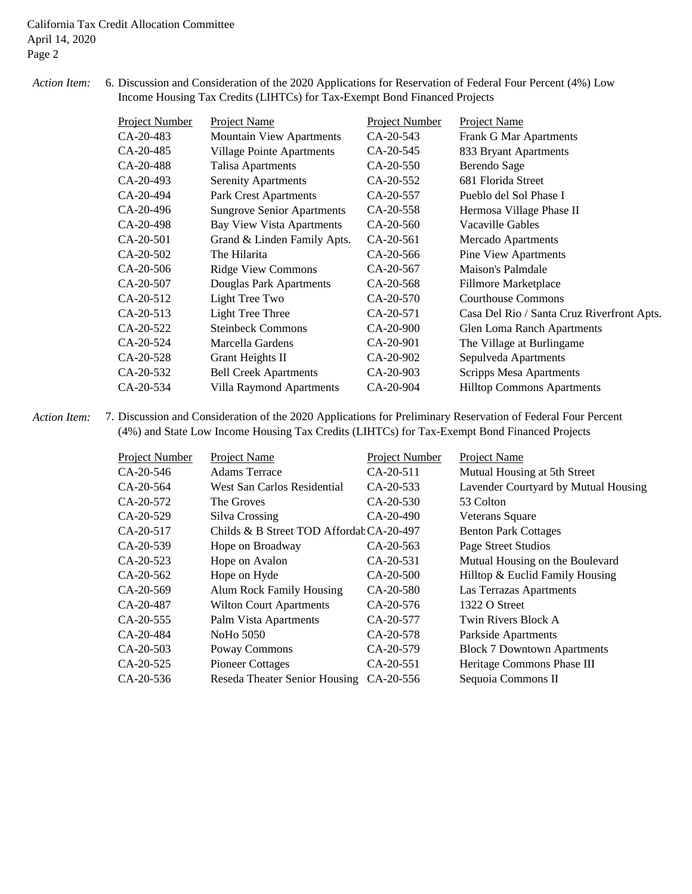#### *Action Item:* 6. 6. Discussion and Consideration of the 2020 Applications for Reservation of Federal Four Percent (4%) Low Income Housing Tax Credits (LIHTCs) for Tax-Exempt Bond Financed Projects

| Project Number | Project Name                      | Project Number | Project Name                               |
|----------------|-----------------------------------|----------------|--------------------------------------------|
| $CA-20-483$    | <b>Mountain View Apartments</b>   | $CA-20-543$    | <b>Frank G Mar Apartments</b>              |
| CA-20-485      | <b>Village Pointe Apartments</b>  | CA-20-545      | 833 Bryant Apartments                      |
| CA-20-488      | Talisa Apartments                 | CA-20-550      | Berendo Sage                               |
| CA-20-493      | <b>Serenity Apartments</b>        | CA-20-552      | 681 Florida Street                         |
| CA-20-494      | <b>Park Crest Apartments</b>      | CA-20-557      | Pueblo del Sol Phase I                     |
| CA-20-496      | <b>Sungrove Senior Apartments</b> | CA-20-558      | Hermosa Village Phase II                   |
| CA-20-498      | <b>Bay View Vista Apartments</b>  | $CA-20-560$    | Vacaville Gables                           |
| CA-20-501      | Grand & Linden Family Apts.       | CA-20-561      | Mercado Apartments                         |
| $CA-20-502$    | The Hilarita                      | CA-20-566      | <b>Pine View Apartments</b>                |
| CA-20-506      | <b>Ridge View Commons</b>         | CA-20-567      | Maison's Palmdale                          |
| CA-20-507      | Douglas Park Apartments           | CA-20-568      | Fillmore Marketplace                       |
| CA-20-512      | Light Tree Two                    | CA-20-570      | <b>Courthouse Commons</b>                  |
| CA-20-513      | <b>Light Tree Three</b>           | CA-20-571      | Casa Del Rio / Santa Cruz Riverfront Apts. |
| CA-20-522      | <b>Steinbeck Commons</b>          | CA-20-900      | <b>Glen Loma Ranch Apartments</b>          |
| CA-20-524      | Marcella Gardens                  | CA-20-901      | The Village at Burlingame                  |
| CA-20-528      | Grant Heights II                  | CA-20-902      | Sepulveda Apartments                       |
| CA-20-532      | <b>Bell Creek Apartments</b>      | CA-20-903      | <b>Scripps Mesa Apartments</b>             |
| $CA-20-534$    | Villa Raymond Apartments          | CA-20-904      | <b>Hilltop Commons Apartments</b>          |

*Action Item:* 7. 7. Discussion and Consideration of the 2020 Applications for Preliminary Reservation of Federal Four Percent (4%) and State Low Income Housing Tax Credits (LIHTCs) for Tax-Exempt Bond Financed Projects

| Project Number | Project Name                             | Project Number | Project Name                         |
|----------------|------------------------------------------|----------------|--------------------------------------|
| CA-20-546      | <b>Adams Terrace</b>                     | $CA-20-511$    | Mutual Housing at 5th Street         |
| CA-20-564      | West San Carlos Residential              | CA-20-533      | Lavender Courtyard by Mutual Housing |
| CA-20-572      | The Groves                               | CA-20-530      | 53 Colton                            |
| CA-20-529      | Silva Crossing                           | CA-20-490      | <b>Veterans Square</b>               |
| CA-20-517      | Childs & B Street TOD Affordal CA-20-497 |                | <b>Benton Park Cottages</b>          |
| CA-20-539      | Hope on Broadway                         | $CA-20-563$    | Page Street Studios                  |
| CA-20-523      | Hope on Avalon                           | CA-20-531      | Mutual Housing on the Boulevard      |
| CA-20-562      | Hope on Hyde                             | CA-20-500      | Hilltop & Euclid Family Housing      |
| CA-20-569      | <b>Alum Rock Family Housing</b>          | CA-20-580      | Las Terrazas Apartments              |
| CA-20-487      | <b>Wilton Court Apartments</b>           | CA-20-576      | 1322 O Street                        |
| CA-20-555      | Palm Vista Apartments                    | CA-20-577      | Twin Rivers Block A                  |
| CA-20-484      | NoHo 5050                                | CA-20-578      | Parkside Apartments                  |
| CA-20-503      | Poway Commons                            | CA-20-579      | <b>Block 7 Downtown Apartments</b>   |
| CA-20-525      | <b>Pioneer Cottages</b>                  | CA-20-551      | Heritage Commons Phase III           |
| CA-20-536      | Reseda Theater Senior Housing            | CA-20-556      | Sequoia Commons II                   |